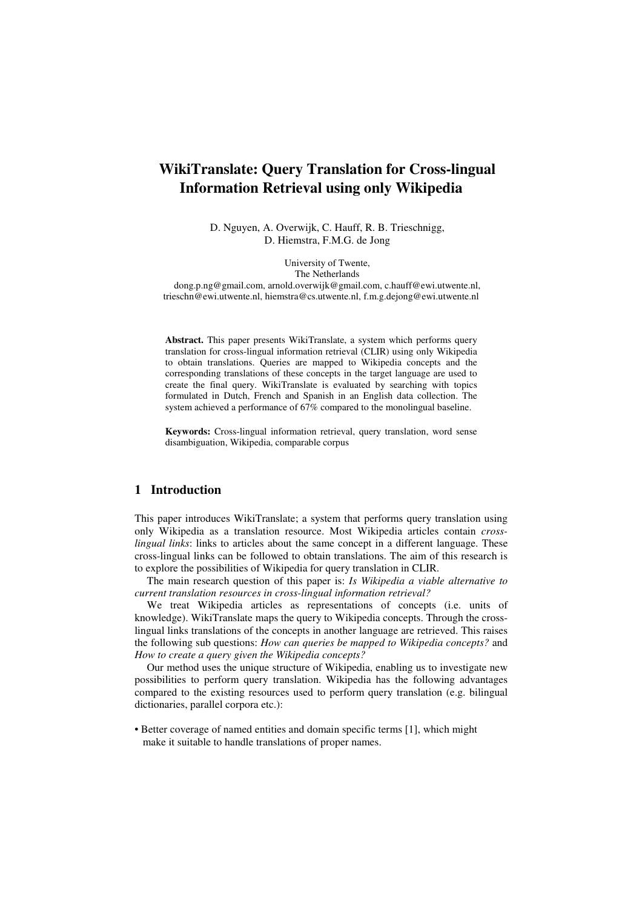# **WikiTranslate: Query Translation for Cross-lingual Information Retrieval using only Wikipedia**

D. Nguyen, A. Overwijk, C. Hauff, R. B. Trieschnigg, D. Hiemstra, F.M.G. de Jong

> University of Twente, The Netherlands

dong.p.ng@gmail.com, arnold.overwijk@gmail.com, c.hauff@ewi.utwente.nl, trieschn@ewi.utwente.nl, hiemstra@cs.utwente.nl, f.m.g.dejong@ewi.utwente.nl

**Abstract.** This paper presents WikiTranslate, a system which performs query translation for cross-lingual information retrieval (CLIR) using only Wikipedia to obtain translations. Queries are mapped to Wikipedia concepts and the corresponding translations of these concepts in the target language are used to create the final query. WikiTranslate is evaluated by searching with topics formulated in Dutch, French and Spanish in an English data collection. The system achieved a performance of 67% compared to the monolingual baseline.

**Keywords:** Cross-lingual information retrieval, query translation, word sense disambiguation, Wikipedia, comparable corpus

# **1 Introduction**

This paper introduces WikiTranslate; a system that performs query translation using only Wikipedia as a translation resource. Most Wikipedia articles contain *crosslingual links*: links to articles about the same concept in a different language. These cross-lingual links can be followed to obtain translations. The aim of this research is to explore the possibilities of Wikipedia for query translation in CLIR.

The main research question of this paper is: *Is Wikipedia a viable alternative to current translation resources in cross-lingual information retrieval?* 

We treat Wikipedia articles as representations of concepts (i.e. units of knowledge). WikiTranslate maps the query to Wikipedia concepts. Through the crosslingual links translations of the concepts in another language are retrieved. This raises the following sub questions: *How can queries be mapped to Wikipedia concepts?* and *How to create a query given the Wikipedia concepts?*

Our method uses the unique structure of Wikipedia, enabling us to investigate new possibilities to perform query translation. Wikipedia has the following advantages compared to the existing resources used to perform query translation (e.g. bilingual dictionaries, parallel corpora etc.):

• Better coverage of named entities and domain specific terms [1], which might make it suitable to handle translations of proper names.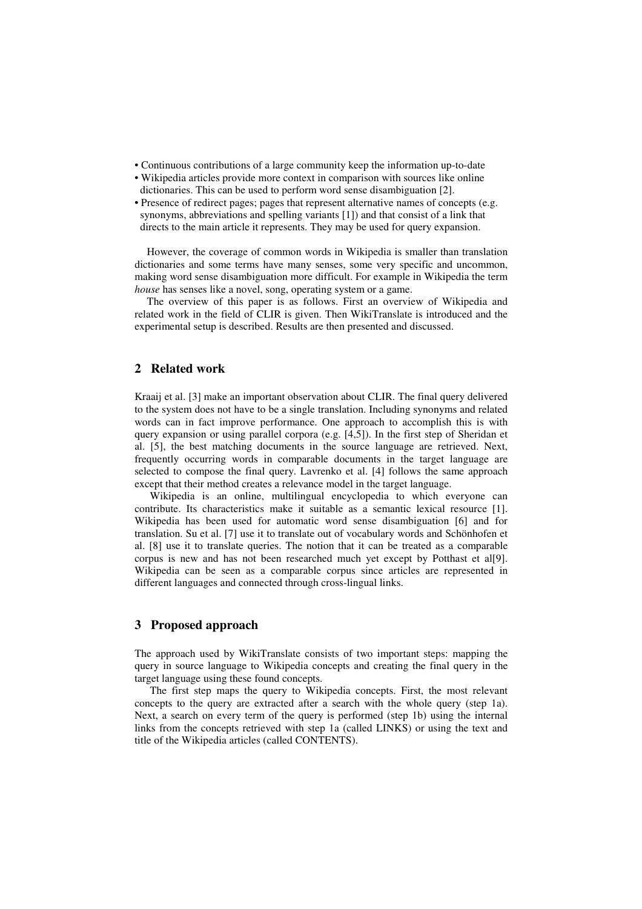- Continuous contributions of a large community keep the information up-to-date
- Wikipedia articles provide more context in comparison with sources like online dictionaries. This can be used to perform word sense disambiguation [2].
- Presence of redirect pages; pages that represent alternative names of concepts (e.g. synonyms, abbreviations and spelling variants [1]) and that consist of a link that directs to the main article it represents. They may be used for query expansion.

However, the coverage of common words in Wikipedia is smaller than translation dictionaries and some terms have many senses, some very specific and uncommon, making word sense disambiguation more difficult. For example in Wikipedia the term *house* has senses like a novel, song, operating system or a game.

The overview of this paper is as follows. First an overview of Wikipedia and related work in the field of CLIR is given. Then WikiTranslate is introduced and the experimental setup is described. Results are then presented and discussed.

## **2 Related work**

Kraaij et al. [3] make an important observation about CLIR. The final query delivered to the system does not have to be a single translation. Including synonyms and related words can in fact improve performance. One approach to accomplish this is with query expansion or using parallel corpora (e.g. [4,5]). In the first step of Sheridan et al. [5], the best matching documents in the source language are retrieved. Next, frequently occurring words in comparable documents in the target language are selected to compose the final query. Lavrenko et al. [4] follows the same approach except that their method creates a relevance model in the target language.

Wikipedia is an online, multilingual encyclopedia to which everyone can contribute. Its characteristics make it suitable as a semantic lexical resource [1]. Wikipedia has been used for automatic word sense disambiguation [6] and for translation. Su et al. [7] use it to translate out of vocabulary words and Schönhofen et al. [8] use it to translate queries. The notion that it can be treated as a comparable corpus is new and has not been researched much yet except by Potthast et al[9]. Wikipedia can be seen as a comparable corpus since articles are represented in different languages and connected through cross-lingual links.

## **3 Proposed approach**

The approach used by WikiTranslate consists of two important steps: mapping the query in source language to Wikipedia concepts and creating the final query in the target language using these found concepts.

The first step maps the query to Wikipedia concepts. First, the most relevant concepts to the query are extracted after a search with the whole query (step 1a). Next, a search on every term of the query is performed (step 1b) using the internal links from the concepts retrieved with step 1a (called LINKS) or using the text and title of the Wikipedia articles (called CONTENTS).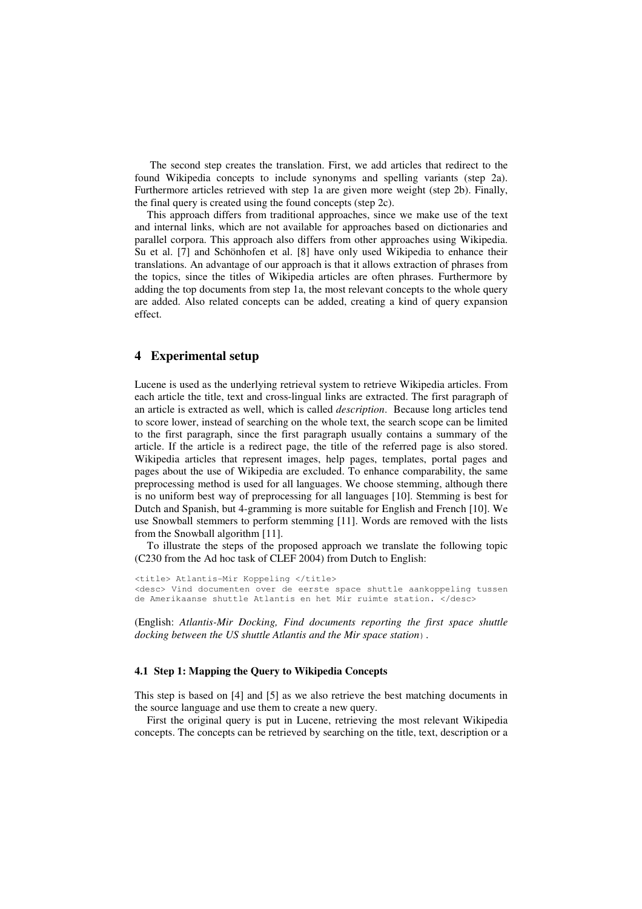The second step creates the translation. First, we add articles that redirect to the found Wikipedia concepts to include synonyms and spelling variants (step 2a). Furthermore articles retrieved with step 1a are given more weight (step 2b). Finally, the final query is created using the found concepts (step 2c).

This approach differs from traditional approaches, since we make use of the text and internal links, which are not available for approaches based on dictionaries and parallel corpora. This approach also differs from other approaches using Wikipedia. Su et al. [7] and Schönhofen et al. [8] have only used Wikipedia to enhance their translations. An advantage of our approach is that it allows extraction of phrases from the topics, since the titles of Wikipedia articles are often phrases. Furthermore by adding the top documents from step 1a, the most relevant concepts to the whole query are added. Also related concepts can be added, creating a kind of query expansion effect.

## **4 Experimental setup**

Lucene is used as the underlying retrieval system to retrieve Wikipedia articles. From each article the title, text and cross-lingual links are extracted. The first paragraph of an article is extracted as well, which is called *description*. Because long articles tend to score lower, instead of searching on the whole text, the search scope can be limited to the first paragraph, since the first paragraph usually contains a summary of the article. If the article is a redirect page, the title of the referred page is also stored. Wikipedia articles that represent images, help pages, templates, portal pages and pages about the use of Wikipedia are excluded. To enhance comparability, the same preprocessing method is used for all languages. We choose stemming, although there is no uniform best way of preprocessing for all languages [10]. Stemming is best for Dutch and Spanish, but 4-gramming is more suitable for English and French [10]. We use Snowball stemmers to perform stemming [11]. Words are removed with the lists from the Snowball algorithm [11].

To illustrate the steps of the proposed approach we translate the following topic (C230 from the Ad hoc task of CLEF 2004) from Dutch to English:

<title> Atlantis-Mir Koppeling </title> <desc> Vind documenten over de eerste space shuttle aankoppeling tussen de Amerikaanse shuttle Atlantis en het Mir ruimte station. </desc>

(English: *Atlantis-Mir Docking, Find documents reporting the first space shuttle docking between the US shuttle Atlantis and the Mir space station*).

#### **4.1 Step 1: Mapping the Query to Wikipedia Concepts**

This step is based on [4] and [5] as we also retrieve the best matching documents in the source language and use them to create a new query.

First the original query is put in Lucene, retrieving the most relevant Wikipedia concepts. The concepts can be retrieved by searching on the title, text, description or a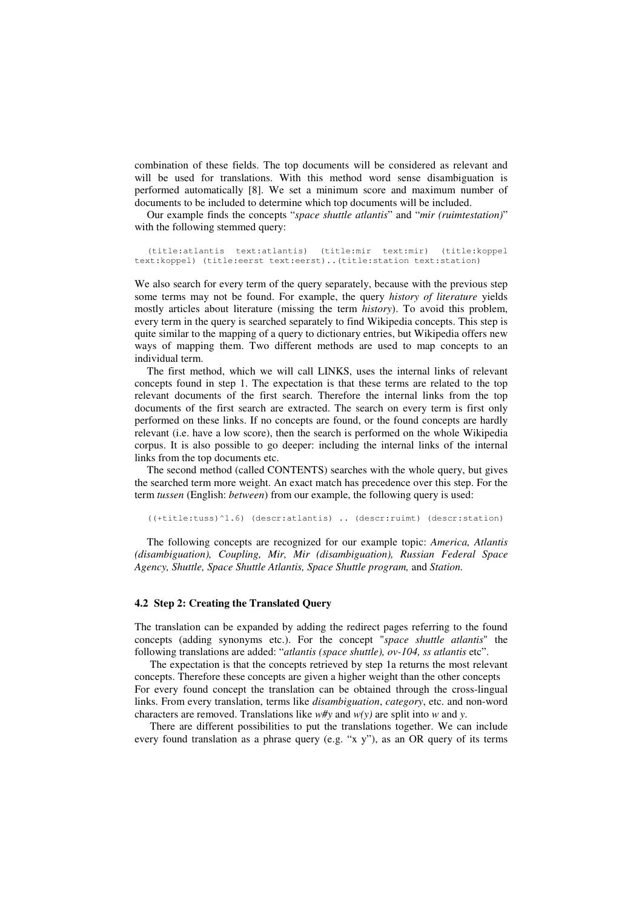combination of these fields. The top documents will be considered as relevant and will be used for translations. With this method word sense disambiguation is performed automatically [8]. We set a minimum score and maximum number of documents to be included to determine which top documents will be included.

Our example finds the concepts "*space shuttle atlantis*" and "*mir (ruimtestation)*" with the following stemmed query:

```
(title:atlantis text:atlantis) (title:mir text:mir) (title:koppel 
text:koppel) (title:eerst text:eerst)..(title:station text:station)
```
We also search for every term of the query separately, because with the previous step some terms may not be found. For example, the query *history of literature* yields mostly articles about literature (missing the term *history*). To avoid this problem, every term in the query is searched separately to find Wikipedia concepts. This step is quite similar to the mapping of a query to dictionary entries, but Wikipedia offers new ways of mapping them. Two different methods are used to map concepts to an individual term.

The first method, which we will call LINKS, uses the internal links of relevant concepts found in step 1. The expectation is that these terms are related to the top relevant documents of the first search. Therefore the internal links from the top documents of the first search are extracted. The search on every term is first only performed on these links. If no concepts are found, or the found concepts are hardly relevant (i.e. have a low score), then the search is performed on the whole Wikipedia corpus. It is also possible to go deeper: including the internal links of the internal links from the top documents etc.

The second method (called CONTENTS) searches with the whole query, but gives the searched term more weight. An exact match has precedence over this step. For the term *tussen* (English: *between*) from our example, the following query is used:

```
((+title:tuss)^1.6) (descr:atlantis) .. (descr:ruimt) (descr:station)
```
The following concepts are recognized for our example topic: *America, Atlantis (disambiguation), Coupling, Mir, Mir (disambiguation), Russian Federal Space Agency, Shuttle, Space Shuttle Atlantis, Space Shuttle program,* and *Station.* 

#### **4.2 Step 2: Creating the Translated Query**

The translation can be expanded by adding the redirect pages referring to the found concepts (adding synonyms etc.). For the concept "*space shuttle atlantis*" the following translations are added: "*atlantis (space shuttle), ov-104, ss atlantis* etc".

The expectation is that the concepts retrieved by step 1a returns the most relevant concepts. Therefore these concepts are given a higher weight than the other concepts For every found concept the translation can be obtained through the cross-lingual links. From every translation, terms like *disambiguation*, *category*, etc. and non-word characters are removed. Translations like *w#y* and *w(y)* are split into *w* and *y*.

There are different possibilities to put the translations together. We can include every found translation as a phrase query (e.g. "x y"), as an OR query of its terms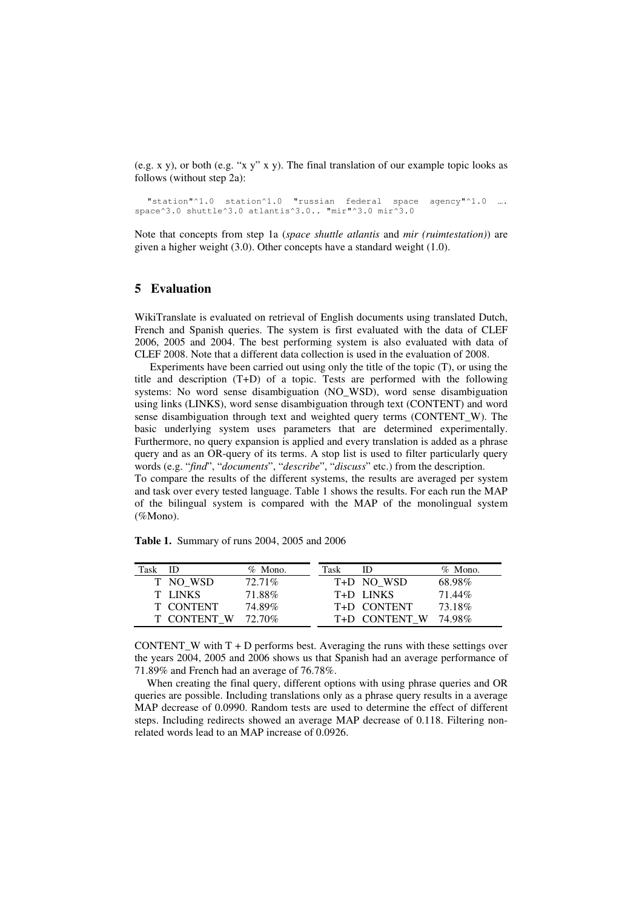(e.g. x y), or both (e.g. "x y" x y). The final translation of our example topic looks as follows (without step 2a):

"station"^1.0 station^1.0 "russian federal space agency"^1.0 …. space^3.0 shuttle^3.0 atlantis^3.0.. "mir"^3.0 mir^3.0

Note that concepts from step 1a (*space shuttle atlantis* and *mir (ruimtestation)*) are given a higher weight (3.0). Other concepts have a standard weight (1.0).

# **5 Evaluation**

WikiTranslate is evaluated on retrieval of English documents using translated Dutch, French and Spanish queries. The system is first evaluated with the data of CLEF 2006, 2005 and 2004. The best performing system is also evaluated with data of CLEF 2008. Note that a different data collection is used in the evaluation of 2008.

Experiments have been carried out using only the title of the topic (T), or using the title and description (T+D) of a topic. Tests are performed with the following systems: No word sense disambiguation (NO\_WSD), word sense disambiguation using links (LINKS), word sense disambiguation through text (CONTENT) and word sense disambiguation through text and weighted query terms (CONTENT\_W). The basic underlying system uses parameters that are determined experimentally. Furthermore, no query expansion is applied and every translation is added as a phrase query and as an OR-query of its terms. A stop list is used to filter particularly query words (e.g. "*find*", "*documents*", "*describe*", "*discuss*" etc.) from the description.

To compare the results of the different systems, the results are averaged per system and task over every tested language. Table 1 shows the results. For each run the MAP of the bilingual system is compared with the MAP of the monolingual system (%Mono).

|  | <b>Table 1.</b> Summary of runs 2004, 2005 and 2006 |  |  |  |  |
|--|-----------------------------------------------------|--|--|--|--|
|--|-----------------------------------------------------|--|--|--|--|

| Task | -ID         | $%$ Mono. | Task | ID                     | $%$ Mono. |
|------|-------------|-----------|------|------------------------|-----------|
|      | T NO WSD    | 72.71%    |      | T+D NO WSD             | 68.98%    |
|      | T LINKS     | 71.88%    |      | T <sub>+</sub> D LINKS | 71.44%    |
|      | T CONTENT   | 74.89%    |      | T+D CONTENT            | 73.18%    |
|      | T CONTENT W | 72.70%    |      | T+D CONTENT W          | 74.98%    |

CONTENT W with  $T + D$  performs best. Averaging the runs with these settings over the years 2004, 2005 and 2006 shows us that Spanish had an average performance of 71.89% and French had an average of 76.78%.

When creating the final query, different options with using phrase queries and OR queries are possible. Including translations only as a phrase query results in a average MAP decrease of 0.0990. Random tests are used to determine the effect of different steps. Including redirects showed an average MAP decrease of 0.118. Filtering nonrelated words lead to an MAP increase of 0.0926.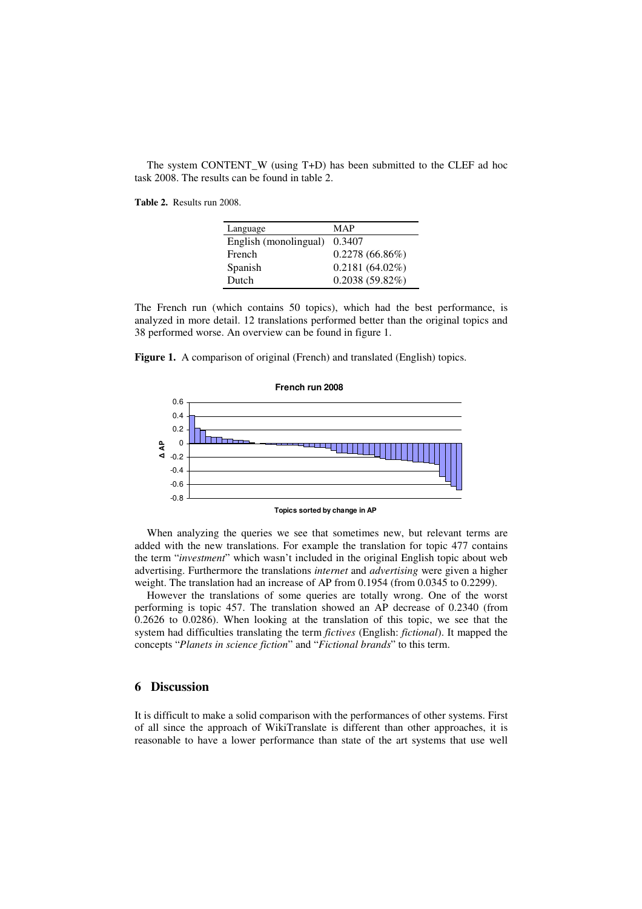The system CONTENT\_W (using T+D) has been submitted to the CLEF ad hoc task 2008. The results can be found in table 2.

**Table 2.** Results run 2008.

| Language              | MAP               |
|-----------------------|-------------------|
| English (monolingual) | 0.3407            |
| French                | $0.2278(66.86\%)$ |
| Spanish               | $0.2181(64.02\%)$ |
| Dutch                 | $0.2038(59.82\%)$ |

The French run (which contains 50 topics), which had the best performance, is analyzed in more detail. 12 translations performed better than the original topics and 38 performed worse. An overview can be found in figure 1.

|  | Figure 1. A comparison of original (French) and translated (English) topics. |  |
|--|------------------------------------------------------------------------------|--|
|  |                                                                              |  |





When analyzing the queries we see that sometimes new, but relevant terms are added with the new translations. For example the translation for topic 477 contains the term "*investment*" which wasn't included in the original English topic about web advertising. Furthermore the translations *internet* and *advertising* were given a higher weight. The translation had an increase of AP from 0.1954 (from 0.0345 to 0.2299).

However the translations of some queries are totally wrong. One of the worst performing is topic 457. The translation showed an AP decrease of 0.2340 (from 0.2626 to 0.0286). When looking at the translation of this topic, we see that the system had difficulties translating the term *fictives* (English: *fictional*). It mapped the concepts "*Planets in science fiction*" and "*Fictional brands*" to this term.

### **6 Discussion**

It is difficult to make a solid comparison with the performances of other systems. First of all since the approach of WikiTranslate is different than other approaches, it is reasonable to have a lower performance than state of the art systems that use well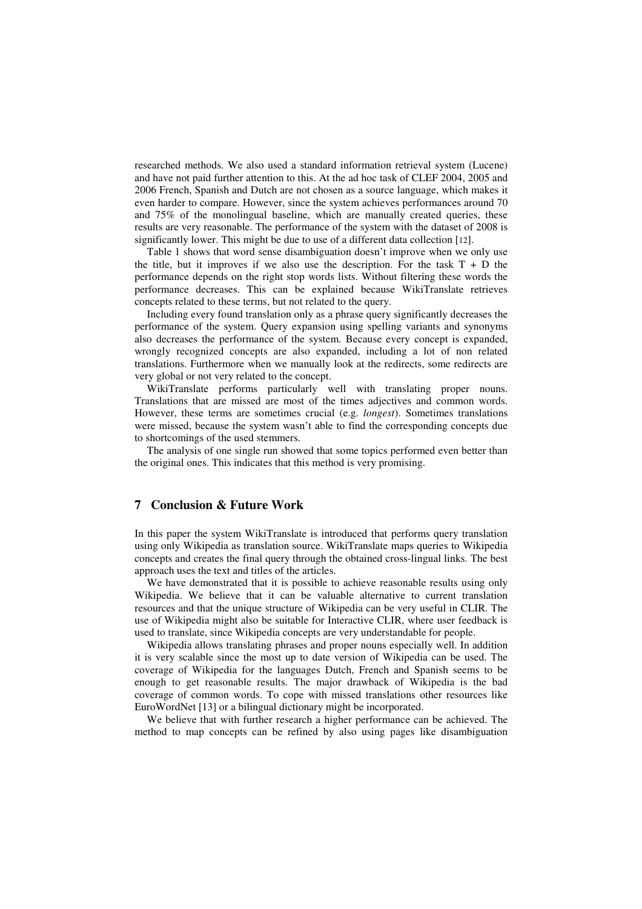researched methods. We also used a standard information retrieval system (Lucene) and have not paid further attention to this. At the ad hoc task of CLEF 2004, 2005 and 2006 French, Spanish and Dutch are not chosen as a source language, which makes it even harder to compare. However, since the system achieves performances around 70 and 75% of the monolingual baseline, which are manually created queries, these results are very reasonable. The performance of the system with the dataset of 2008 is significantly lower. This might be due to use of a different data collection [12].

Table 1 shows that word sense disambiguation doesn't improve when we only use the title, but it improves if we also use the description. For the task  $T + D$  the performance depends on the right stop words lists. Without filtering these words the performance decreases. This can be explained because WikiTranslate retrieves concepts related to these terms, but not related to the query.

Including every found translation only as a phrase query significantly decreases the performance of the system. Query expansion using spelling variants and synonyms also decreases the performance of the system. Because every concept is expanded, wrongly recognized concepts are also expanded, including a lot of non related translations. Furthermore when we manually look at the redirects, some redirects are very global or not very related to the concept.

WikiTranslate performs particularly well with translating proper nouns. Translations that are missed are most of the times adjectives and common words. However, these terms are sometimes crucial (e.g. *longest*). Sometimes translations were missed, because the system wasn't able to find the corresponding concepts due to shortcomings of the used stemmers.

The analysis of one single run showed that some topics performed even better than the original ones. This indicates that this method is very promising.

## **7 Conclusion & Future Work**

In this paper the system WikiTranslate is introduced that performs query translation using only Wikipedia as translation source. WikiTranslate maps queries to Wikipedia concepts and creates the final query through the obtained cross-lingual links. The best approach uses the text and titles of the articles.

We have demonstrated that it is possible to achieve reasonable results using only Wikipedia. We believe that it can be valuable alternative to current translation resources and that the unique structure of Wikipedia can be very useful in CLIR. The use of Wikipedia might also be suitable for Interactive CLIR, where user feedback is used to translate, since Wikipedia concepts are very understandable for people.

Wikipedia allows translating phrases and proper nouns especially well. In addition it is very scalable since the most up to date version of Wikipedia can be used. The coverage of Wikipedia for the languages Dutch, French and Spanish seems to be enough to get reasonable results. The major drawback of Wikipedia is the bad coverage of common words. To cope with missed translations other resources like EuroWordNet [13] or a bilingual dictionary might be incorporated.

We believe that with further research a higher performance can be achieved. The method to map concepts can be refined by also using pages like disambiguation